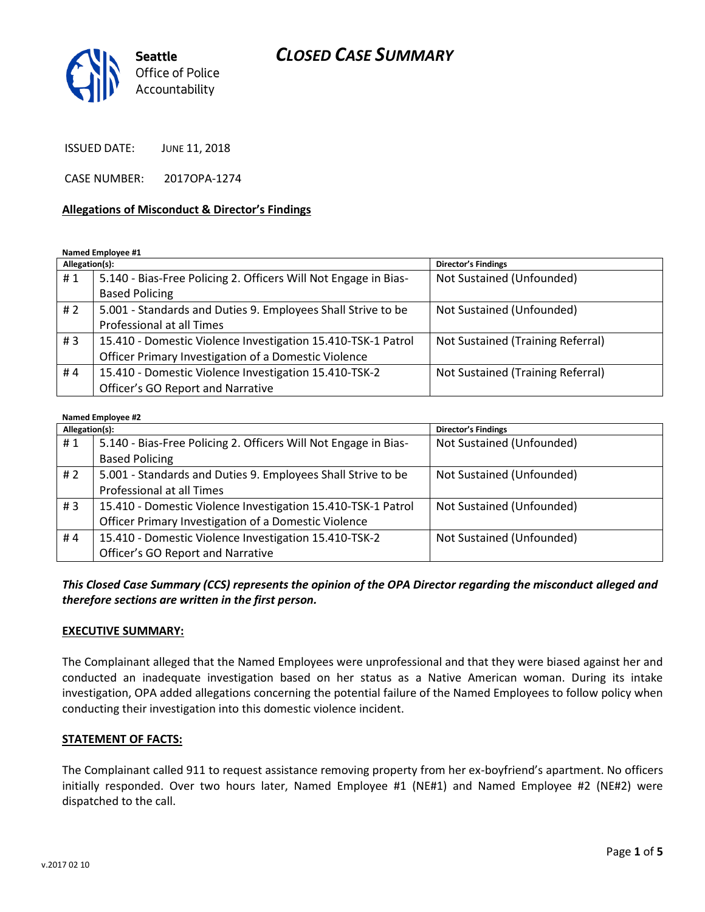# *CLOSED CASE SUMMARY*



ISSUED DATE: JUNE 11, 2018

CASE NUMBER: 2017OPA-1274

#### **Allegations of Misconduct & Director's Findings**

**Named Employee #1**

| Allegation(s): |                                                                 | Director's Findings               |
|----------------|-----------------------------------------------------------------|-----------------------------------|
| #1             | 5.140 - Bias-Free Policing 2. Officers Will Not Engage in Bias- | Not Sustained (Unfounded)         |
|                | <b>Based Policing</b>                                           |                                   |
| #2             | 5.001 - Standards and Duties 9. Employees Shall Strive to be    | Not Sustained (Unfounded)         |
|                | Professional at all Times                                       |                                   |
| #3             | 15.410 - Domestic Violence Investigation 15.410-TSK-1 Patrol    | Not Sustained (Training Referral) |
|                | Officer Primary Investigation of a Domestic Violence            |                                   |
| #4             | 15.410 - Domestic Violence Investigation 15.410-TSK-2           | Not Sustained (Training Referral) |
|                | Officer's GO Report and Narrative                               |                                   |

#### **Named Employee #2**

| Allegation(s): |                                                                 | Director's Findings       |
|----------------|-----------------------------------------------------------------|---------------------------|
| #1             | 5.140 - Bias-Free Policing 2. Officers Will Not Engage in Bias- | Not Sustained (Unfounded) |
|                | <b>Based Policing</b>                                           |                           |
| # $2$          | 5.001 - Standards and Duties 9. Employees Shall Strive to be    | Not Sustained (Unfounded) |
|                | Professional at all Times                                       |                           |
| #3             | 15.410 - Domestic Violence Investigation 15.410-TSK-1 Patrol    | Not Sustained (Unfounded) |
|                | Officer Primary Investigation of a Domestic Violence            |                           |
| #4             | 15.410 - Domestic Violence Investigation 15.410-TSK-2           | Not Sustained (Unfounded) |
|                | Officer's GO Report and Narrative                               |                           |

*This Closed Case Summary (CCS) represents the opinion of the OPA Director regarding the misconduct alleged and therefore sections are written in the first person.* 

#### **EXECUTIVE SUMMARY:**

The Complainant alleged that the Named Employees were unprofessional and that they were biased against her and conducted an inadequate investigation based on her status as a Native American woman. During its intake investigation, OPA added allegations concerning the potential failure of the Named Employees to follow policy when conducting their investigation into this domestic violence incident.

#### **STATEMENT OF FACTS:**

The Complainant called 911 to request assistance removing property from her ex-boyfriend's apartment. No officers initially responded. Over two hours later, Named Employee #1 (NE#1) and Named Employee #2 (NE#2) were dispatched to the call.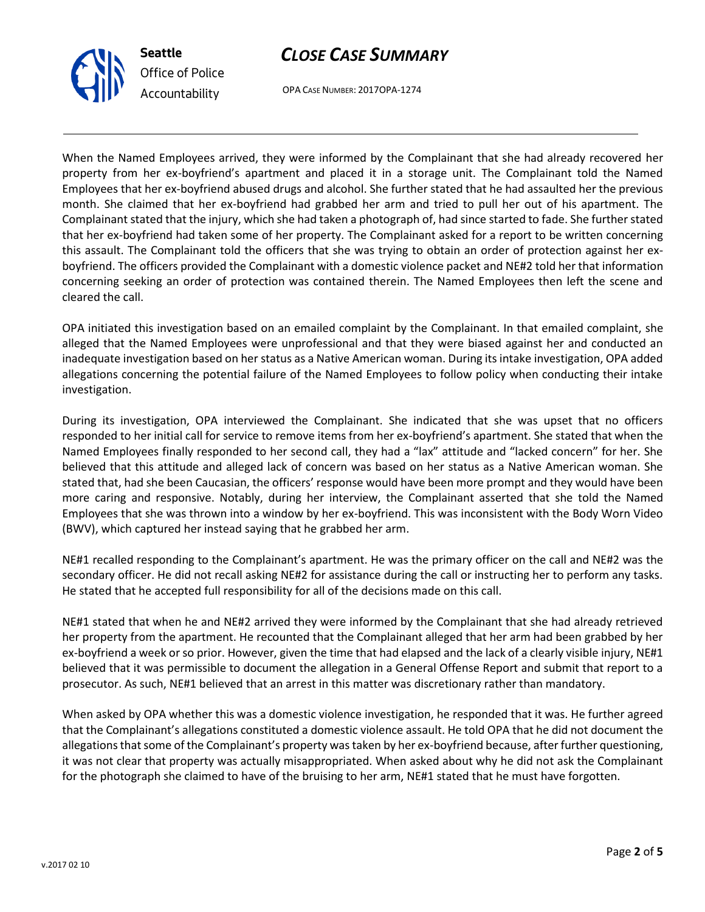



OPA CASE NUMBER: 2017OPA-1274

When the Named Employees arrived, they were informed by the Complainant that she had already recovered her property from her ex-boyfriend's apartment and placed it in a storage unit. The Complainant told the Named Employees that her ex-boyfriend abused drugs and alcohol. She further stated that he had assaulted her the previous month. She claimed that her ex-boyfriend had grabbed her arm and tried to pull her out of his apartment. The Complainant stated that the injury, which she had taken a photograph of, had since started to fade. She further stated that her ex-boyfriend had taken some of her property. The Complainant asked for a report to be written concerning this assault. The Complainant told the officers that she was trying to obtain an order of protection against her exboyfriend. The officers provided the Complainant with a domestic violence packet and NE#2 told her that information concerning seeking an order of protection was contained therein. The Named Employees then left the scene and cleared the call.

OPA initiated this investigation based on an emailed complaint by the Complainant. In that emailed complaint, she alleged that the Named Employees were unprofessional and that they were biased against her and conducted an inadequate investigation based on her status as a Native American woman. During its intake investigation, OPA added allegations concerning the potential failure of the Named Employees to follow policy when conducting their intake investigation.

During its investigation, OPA interviewed the Complainant. She indicated that she was upset that no officers responded to her initial call for service to remove items from her ex-boyfriend's apartment. She stated that when the Named Employees finally responded to her second call, they had a "lax" attitude and "lacked concern" for her. She believed that this attitude and alleged lack of concern was based on her status as a Native American woman. She stated that, had she been Caucasian, the officers' response would have been more prompt and they would have been more caring and responsive. Notably, during her interview, the Complainant asserted that she told the Named Employees that she was thrown into a window by her ex-boyfriend. This was inconsistent with the Body Worn Video (BWV), which captured her instead saying that he grabbed her arm.

NE#1 recalled responding to the Complainant's apartment. He was the primary officer on the call and NE#2 was the secondary officer. He did not recall asking NE#2 for assistance during the call or instructing her to perform any tasks. He stated that he accepted full responsibility for all of the decisions made on this call.

NE#1 stated that when he and NE#2 arrived they were informed by the Complainant that she had already retrieved her property from the apartment. He recounted that the Complainant alleged that her arm had been grabbed by her ex-boyfriend a week or so prior. However, given the time that had elapsed and the lack of a clearly visible injury, NE#1 believed that it was permissible to document the allegation in a General Offense Report and submit that report to a prosecutor. As such, NE#1 believed that an arrest in this matter was discretionary rather than mandatory.

When asked by OPA whether this was a domestic violence investigation, he responded that it was. He further agreed that the Complainant's allegations constituted a domestic violence assault. He told OPA that he did not document the allegations that some of the Complainant's property was taken by her ex-boyfriend because, after further questioning, it was not clear that property was actually misappropriated. When asked about why he did not ask the Complainant for the photograph she claimed to have of the bruising to her arm, NE#1 stated that he must have forgotten.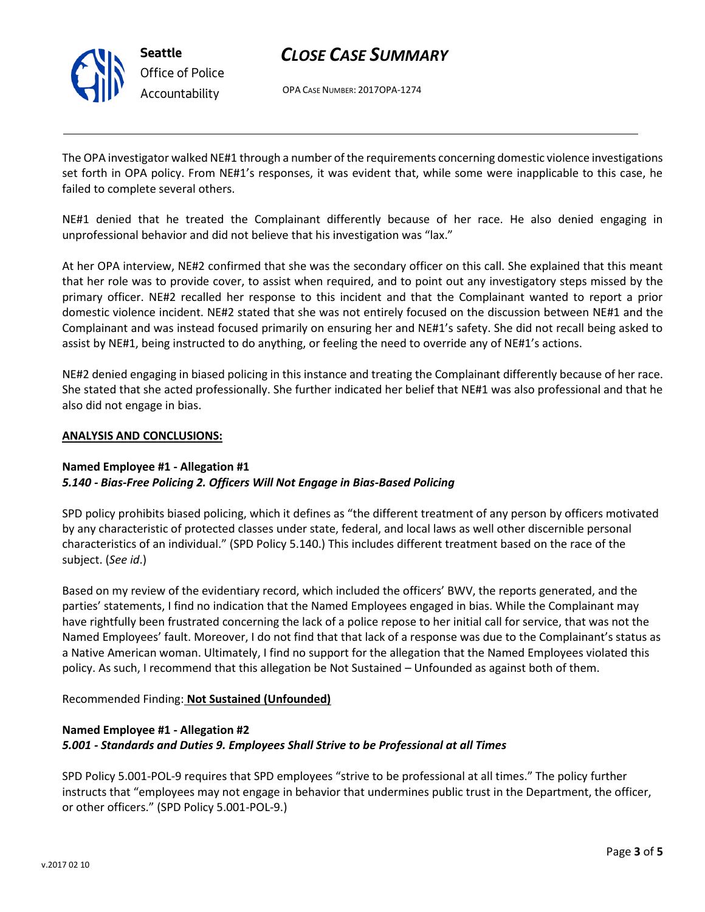

# *CLOSE CASE SUMMARY*

OPA CASE NUMBER: 2017OPA-1274

The OPA investigator walked NE#1 through a number of the requirements concerning domestic violence investigations set forth in OPA policy. From NE#1's responses, it was evident that, while some were inapplicable to this case, he failed to complete several others.

NE#1 denied that he treated the Complainant differently because of her race. He also denied engaging in unprofessional behavior and did not believe that his investigation was "lax."

At her OPA interview, NE#2 confirmed that she was the secondary officer on this call. She explained that this meant that her role was to provide cover, to assist when required, and to point out any investigatory steps missed by the primary officer. NE#2 recalled her response to this incident and that the Complainant wanted to report a prior domestic violence incident. NE#2 stated that she was not entirely focused on the discussion between NE#1 and the Complainant and was instead focused primarily on ensuring her and NE#1's safety. She did not recall being asked to assist by NE#1, being instructed to do anything, or feeling the need to override any of NE#1's actions.

NE#2 denied engaging in biased policing in this instance and treating the Complainant differently because of her race. She stated that she acted professionally. She further indicated her belief that NE#1 was also professional and that he also did not engage in bias.

#### **ANALYSIS AND CONCLUSIONS:**

### **Named Employee #1 - Allegation #1** *5.140 - Bias-Free Policing 2. Officers Will Not Engage in Bias-Based Policing*

SPD policy prohibits biased policing, which it defines as "the different treatment of any person by officers motivated by any characteristic of protected classes under state, federal, and local laws as well other discernible personal characteristics of an individual." (SPD Policy 5.140.) This includes different treatment based on the race of the subject. (*See id*.)

Based on my review of the evidentiary record, which included the officers' BWV, the reports generated, and the parties' statements, I find no indication that the Named Employees engaged in bias. While the Complainant may have rightfully been frustrated concerning the lack of a police repose to her initial call for service, that was not the Named Employees' fault. Moreover, I do not find that that lack of a response was due to the Complainant's status as a Native American woman. Ultimately, I find no support for the allegation that the Named Employees violated this policy. As such, I recommend that this allegation be Not Sustained – Unfounded as against both of them.

### Recommended Finding: **Not Sustained (Unfounded)**

## **Named Employee #1 - Allegation #2** *5.001 - Standards and Duties 9. Employees Shall Strive to be Professional at all Times*

SPD Policy 5.001-POL-9 requires that SPD employees "strive to be professional at all times." The policy further instructs that "employees may not engage in behavior that undermines public trust in the Department, the officer, or other officers." (SPD Policy 5.001-POL-9.)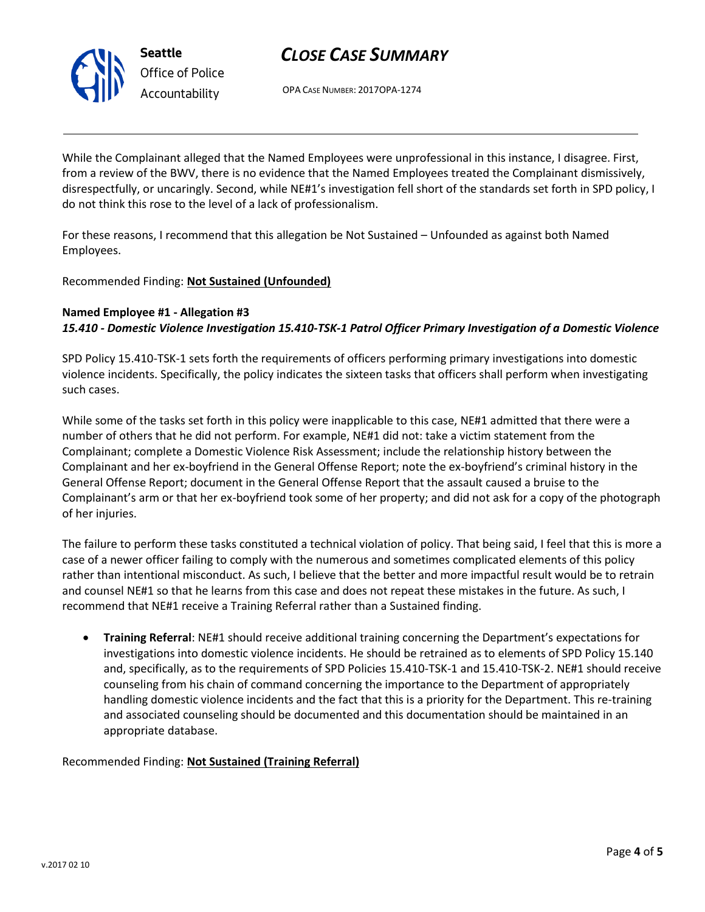

*Office of Police Accountability*

**Seattle**

OPA CASE NUMBER: 2017OPA-1274

While the Complainant alleged that the Named Employees were unprofessional in this instance, I disagree. First, from a review of the BWV, there is no evidence that the Named Employees treated the Complainant dismissively, disrespectfully, or uncaringly. Second, while NE#1's investigation fell short of the standards set forth in SPD policy, I do not think this rose to the level of a lack of professionalism.

For these reasons, I recommend that this allegation be Not Sustained – Unfounded as against both Named Employees.

Recommended Finding: **Not Sustained (Unfounded)**

## **Named Employee #1 - Allegation #3** *15.410 - Domestic Violence Investigation 15.410-TSK-1 Patrol Officer Primary Investigation of a Domestic Violence*

SPD Policy 15.410-TSK-1 sets forth the requirements of officers performing primary investigations into domestic violence incidents. Specifically, the policy indicates the sixteen tasks that officers shall perform when investigating such cases.

While some of the tasks set forth in this policy were inapplicable to this case, NE#1 admitted that there were a number of others that he did not perform. For example, NE#1 did not: take a victim statement from the Complainant; complete a Domestic Violence Risk Assessment; include the relationship history between the Complainant and her ex-boyfriend in the General Offense Report; note the ex-boyfriend's criminal history in the General Offense Report; document in the General Offense Report that the assault caused a bruise to the Complainant's arm or that her ex-boyfriend took some of her property; and did not ask for a copy of the photograph of her injuries.

The failure to perform these tasks constituted a technical violation of policy. That being said, I feel that this is more a case of a newer officer failing to comply with the numerous and sometimes complicated elements of this policy rather than intentional misconduct. As such, I believe that the better and more impactful result would be to retrain and counsel NE#1 so that he learns from this case and does not repeat these mistakes in the future. As such, I recommend that NE#1 receive a Training Referral rather than a Sustained finding.

• **Training Referral**: NE#1 should receive additional training concerning the Department's expectations for investigations into domestic violence incidents. He should be retrained as to elements of SPD Policy 15.140 and, specifically, as to the requirements of SPD Policies 15.410-TSK-1 and 15.410-TSK-2. NE#1 should receive counseling from his chain of command concerning the importance to the Department of appropriately handling domestic violence incidents and the fact that this is a priority for the Department. This re-training and associated counseling should be documented and this documentation should be maintained in an appropriate database.

Recommended Finding: **Not Sustained (Training Referral)**